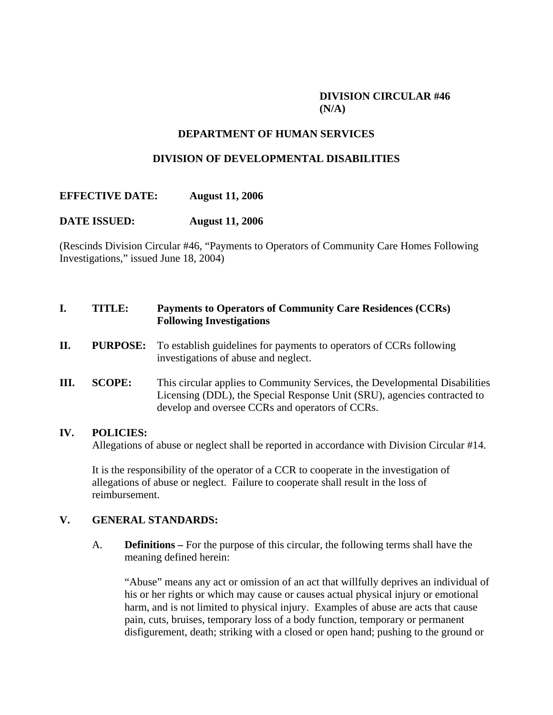# **DIVISION CIRCULAR #46 (N/A)**

# **DEPARTMENT OF HUMAN SERVICES**

## **DIVISION OF DEVELOPMENTAL DISABILITIES**

## **EFFECTIVE DATE: August 11, 2006**

#### **DATE ISSUED: August 11, 2006**

(Rescinds Division Circular #46, "Payments to Operators of Community Care Homes Following Investigations," issued June 18, 2004)

# **I. TITLE: Payments to Operators of Community Care Residences (CCRs) Following Investigations**

- **II.** PURPOSE: To establish guidelines for payments to operators of CCRs following investigations of abuse and neglect.
- **III. SCOPE:** This circular applies to Community Services, the Developmental Disabilities Licensing (DDL), the Special Response Unit (SRU), agencies contracted to develop and oversee CCRs and operators of CCRs.

#### **IV. POLICIES:**

Allegations of abuse or neglect shall be reported in accordance with Division Circular #14.

 It is the responsibility of the operator of a CCR to cooperate in the investigation of allegations of abuse or neglect. Failure to cooperate shall result in the loss of reimbursement.

#### **V. GENERAL STANDARDS:**

A. **Definitions –** For the purpose of this circular, the following terms shall have the meaning defined herein:

 "Abuse" means any act or omission of an act that willfully deprives an individual of his or her rights or which may cause or causes actual physical injury or emotional harm, and is not limited to physical injury. Examples of abuse are acts that cause pain, cuts, bruises, temporary loss of a body function, temporary or permanent disfigurement, death; striking with a closed or open hand; pushing to the ground or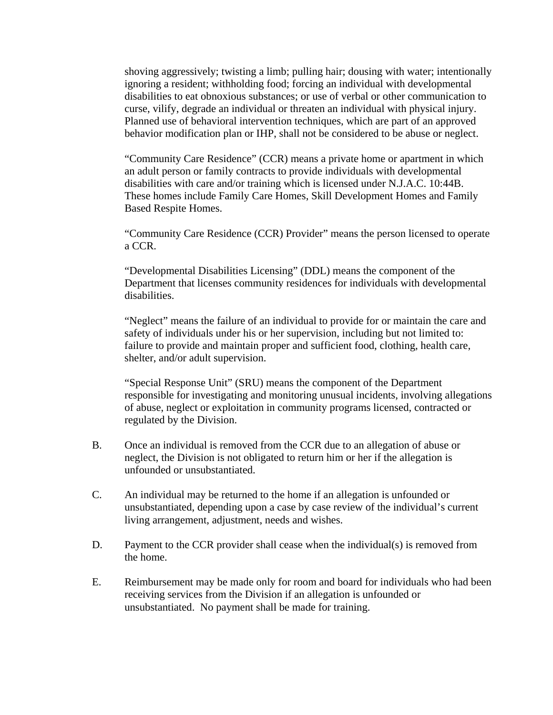shoving aggressively; twisting a limb; pulling hair; dousing with water; intentionally ignoring a resident; withholding food; forcing an individual with developmental disabilities to eat obnoxious substances; or use of verbal or other communication to curse, vilify, degrade an individual or threaten an individual with physical injury. Planned use of behavioral intervention techniques, which are part of an approved behavior modification plan or IHP, shall not be considered to be abuse or neglect.

 "Community Care Residence" (CCR) means a private home or apartment in which an adult person or family contracts to provide individuals with developmental disabilities with care and/or training which is licensed under N.J.A.C. 10:44B. These homes include Family Care Homes, Skill Development Homes and Family Based Respite Homes.

 "Community Care Residence (CCR) Provider" means the person licensed to operate a CCR.

 "Developmental Disabilities Licensing" (DDL) means the component of the Department that licenses community residences for individuals with developmental disabilities.

 "Neglect" means the failure of an individual to provide for or maintain the care and safety of individuals under his or her supervision, including but not limited to: failure to provide and maintain proper and sufficient food, clothing, health care, shelter, and/or adult supervision.

 "Special Response Unit" (SRU) means the component of the Department responsible for investigating and monitoring unusual incidents, involving allegations of abuse, neglect or exploitation in community programs licensed, contracted or regulated by the Division.

- B. Once an individual is removed from the CCR due to an allegation of abuse or neglect, the Division is not obligated to return him or her if the allegation is unfounded or unsubstantiated.
- C. An individual may be returned to the home if an allegation is unfounded or unsubstantiated, depending upon a case by case review of the individual's current living arrangement, adjustment, needs and wishes.
- D. Payment to the CCR provider shall cease when the individual(s) is removed from the home.
- E. Reimbursement may be made only for room and board for individuals who had been receiving services from the Division if an allegation is unfounded or unsubstantiated. No payment shall be made for training.